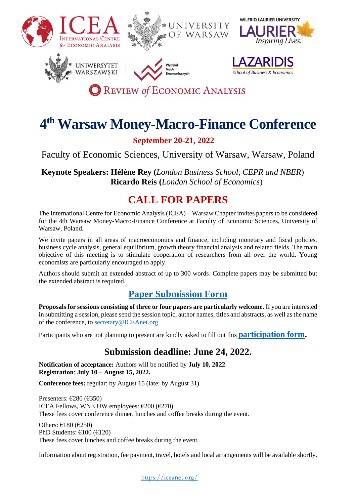

# **4 th Warsaw Money-Macro-Finance Conference**

## **September 20-21, 2022**

Faculty of Economic Sciences, University of Warsaw, Warsaw, Poland

**Keynote Speakers: Hélène Rey (***London Business School, CEPR and NBER*) **Ricardo Reis (***London School of Economics*)

# **CALL FOR PAPERS**

The International Centre for Economic Analysis (ICEA) – Warsaw Chapter invites papers to be considered for the 4th Warsaw Money-Macro-Finance Conference at Faculty of Economic Sciences, University of Warsaw, Poland.

We invite papers in all areas of macroeconomics and finance, including monetary and fiscal policies, business cycle analysis, general equilibrium, growth theory financial analysis and related fields. The main objective of this meeting is to stimulate cooperation of researchers from all over the world. Young economists are particularly encouraged to apply.

Authors should submit an extended abstract of up to 300 words. Complete papers may be submitted but the extended abstract is required.

# **[Paper Submission Form](https://form.jotform.com/221285542558258)**

**Proposals for sessions consisting of three or four papers are particularly welcome**. If you are interested in submitting a session, please send the session topic, author names, titles and abstracts, as well as the name of the conference, to [secretary@ICEAnet.org](mailto:secretary@ICEAnet.org)

Participants who are not planning to present are kindly asked to fill out this **[participation form.](https://form.jotform.com/221318475259359)**

# **Submission deadline: June 24, 2022.**

**Notification of acceptance:** Authors will be notified by **July 10, 2022**. **Registration**: **July 10 – August 15, 2022.** 

**Conference fees:** regular: by August 15 (late: by August 31)

Presenters: €280 (€350) ICEA Fellows, WNE UW employees:  $\epsilon$ 200 ( $\epsilon$ 270) These fees cover conference dinner, lunches and coffee breaks during the event.

Others:  $\epsilon$ 180 ( $\epsilon$ 250) PhD Students: €100 (€120) These fees cover lunches and coffee breaks during the event.

Information about registration, fee payment, travel, hotels and local arrangements will be available shortly.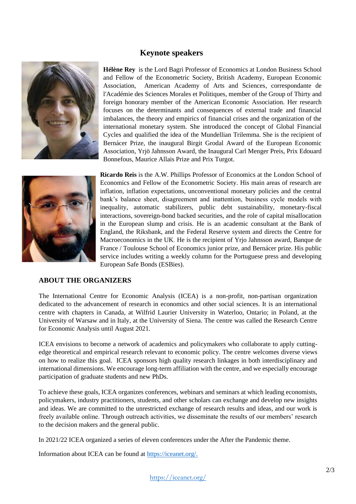### **Keynote speakers**



**Hélène Rey** is the Lord Bagri Professor of Economics at London Business School and Fellow of the Econometric Society, British Academy, European Economic Association, American Academy of Arts and Sciences, correspondante de l'Académie des Sciences Morales et Politiques, member of the Group of Thirty and foreign honorary member of the American Economic Association. Her research focuses on the determinants and consequences of external trade and financial imbalances, the theory and empirics of financial crises and the organization of the international monetary system. She introduced the concept of Global Financial Cycles and qualified the idea of the Mundellian Trilemma. She is the recipient of Bernácer Prize, the inaugural Birgit Grodal Award of the European Economic Association, Yrjö Jahnsson Award, the Inaugural Carl Menger Preis, Prix Edouard Bonnefous, Maurice Allais Prize and Prix Turgot.



**Ricardo Reis** is the A.W. Phillips Professor of Economics at the London School of Economics and Fellow of the Econometric Society. His main areas of research are inflation, inflation expectations, unconventional monetary policies and the central bank's balance sheet, disagreement and inattention, business cycle models with inequality, automatic stabilizers, public debt sustainability, monetary-fiscal interactions, sovereign-bond backed securities, and the role of capital misallocation in the European slump and crisis. He is an academic consultant at the Bank of England, the Riksbank, and the Federal Reserve system and directs the Centre for Macroeconomics in the UK. He is the recipient of Yrjo Jahnsson award, Banque de France / Toulouse School of Economics junior prize, and Bernácer prize. His public service includes writing a weekly column for the Portuguese press and developing European Safe Bonds (ESBies).

#### **ABOUT THE ORGANIZERS**

The International Centre for Economic Analysis (ICEA) is a non-profit, non-partisan organization dedicated to the advancement of research in economics and other social sciences. It is an international centre with chapters in Canada, at Wilfrid Laurier University in Waterloo, Ontario; in Poland, at the University of Warsaw and in Italy, at the University of Siena. The centre was called the Research Centre for Economic Analysis until August 2021.

ICEA envisions to become a network of academics and policymakers who collaborate to apply cuttingedge theoretical and empirical research relevant to economic policy. The centre welcomes diverse views on how to realize this goal. ICEA sponsors high quality research linkages in both interdisciplinary and international dimensions. We encourage long-term affiliation with the centre, and we especially encourage participation of graduate students and new PhDs.

To achieve these goals, ICEA organizes conferences, webinars and seminars at which leading economists, policymakers, industry practitioners, students, and other scholars can exchange and develop new insights and ideas. We are committed to the unrestricted exchange of research results and ideas, and our work is freely available online. Through outreach activities, we disseminate the results of our members' research to the decision makers and the general public.

In 2021/22 ICEA organized a series of eleven conferences under the After the Pandemic theme.

Information about ICEA can be found at [https://iceanet.org/.](https://iceanet.org/)